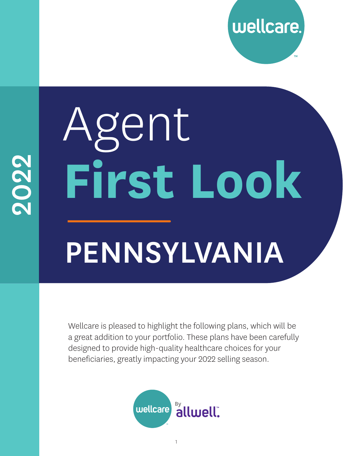

# PENNSYLVANIA Agent **First Look**

Wellcare is pleased to highlight the following plans, which will be a great addition to your portfolio. These plans have been carefully designed to provide high-quality healthcare choices for your beneficiaries, greatly impacting your 2022 selling season.

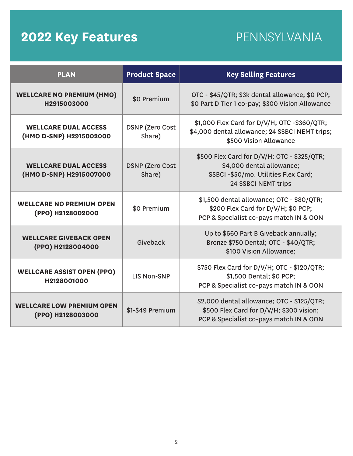### **2022 Key Features** PENNSYLVANIA

| <b>PLAN</b>                                            | <b>Product Space</b>             | <b>Key Selling Features</b>                                                                                                                    |
|--------------------------------------------------------|----------------------------------|------------------------------------------------------------------------------------------------------------------------------------------------|
| <b>WELLCARE NO PREMIUM (HMO)</b><br>H2915003000        | \$0 Premium                      | OTC - \$45/QTR; \$3k dental allowance; \$0 PCP;<br>\$0 Part D Tier 1 co-pay; \$300 Vision Allowance                                            |
| <b>WELLCARE DUAL ACCESS</b><br>(HMO D-SNP) H2915002000 | <b>DSNP</b> (Zero Cost<br>Share) | \$1,000 Flex Card for D/V/H; OTC -\$360/QTR;<br>\$4,000 dental allowance; 24 SSBCI NEMT trips;<br>\$500 Vision Allowance                       |
| <b>WELLCARE DUAL ACCESS</b><br>(HMO D-SNP) H2915007000 | <b>DSNP</b> (Zero Cost<br>Share) | \$500 Flex Card for D/V/H; OTC - \$325/QTR;<br>\$4,000 dental allowance;<br>SSBCI -\$50/mo. Utilities Flex Card;<br><b>24 SSBCI NEMT trips</b> |
| <b>WELLCARE NO PREMIUM OPEN</b><br>(PPO) H2128002000   | \$0 Premium                      | \$1,500 dental allowance; OTC - \$80/QTR;<br>\$200 Flex Card for D/V/H; \$0 PCP;<br>PCP & Specialist co-pays match IN & OON                    |
| <b>WELLCARE GIVEBACK OPEN</b><br>(PPO) H2128004000     | Giveback                         | Up to \$660 Part B Giveback annually;<br>Bronze \$750 Dental; OTC - \$40/QTR;<br>\$100 Vision Allowance;                                       |
| <b>WELLCARE ASSIST OPEN (PPO)</b><br>H2128001000       | <b>LIS Non-SNP</b>               | \$750 Flex Card for D/V/H; OTC - \$120/QTR;<br>\$1,500 Dental; \$0 PCP;<br>PCP & Specialist co-pays match IN & OON                             |
| <b>WELLCARE LOW PREMIUM OPEN</b><br>(PPO) H2128003000  | \$1-\$49 Premium                 | \$2,000 dental allowance; OTC - \$125/QTR;<br>\$500 Flex Card for D/V/H; \$300 vision;<br>PCP & Specialist co-pays match IN & OON              |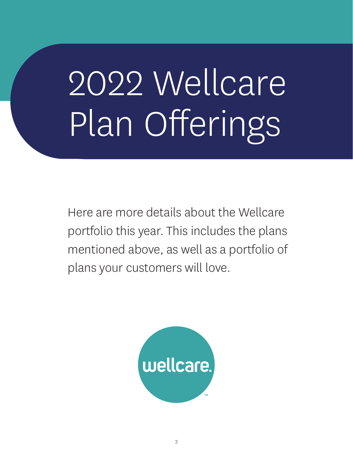## 2022 Wellcare Plan Offerings

Here are more details about the Wellcare portfolio this year. This includes the plans mentioned above, as well as a portfolio of plans your customers will love.

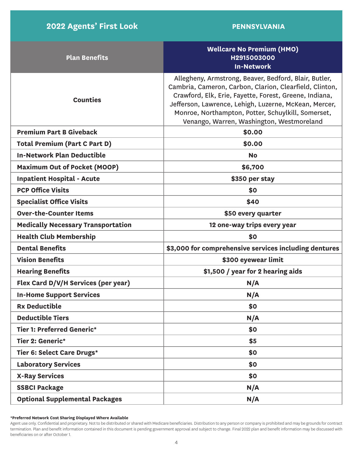| <b>Plan Benefits</b>                      | <b>Wellcare No Premium (HMO)</b><br>H2915003000<br><b>In-Network</b>                                                                                                                                                                                                                                                                   |
|-------------------------------------------|----------------------------------------------------------------------------------------------------------------------------------------------------------------------------------------------------------------------------------------------------------------------------------------------------------------------------------------|
| <b>Counties</b>                           | Allegheny, Armstrong, Beaver, Bedford, Blair, Butler,<br>Cambria, Cameron, Carbon, Clarion, Clearfield, Clinton,<br>Crawford, Elk, Erie, Fayette, Forest, Greene, Indiana,<br>Jefferson, Lawrence, Lehigh, Luzerne, McKean, Mercer,<br>Monroe, Northampton, Potter, Schuylkill, Somerset,<br>Venango, Warren, Washington, Westmoreland |
| <b>Premium Part B Giveback</b>            | \$0.00                                                                                                                                                                                                                                                                                                                                 |
| <b>Total Premium (Part C Part D)</b>      | \$0.00                                                                                                                                                                                                                                                                                                                                 |
| <b>In-Network Plan Deductible</b>         | <b>No</b>                                                                                                                                                                                                                                                                                                                              |
| <b>Maximum Out of Pocket (MOOP)</b>       | \$6,700                                                                                                                                                                                                                                                                                                                                |
| <b>Inpatient Hospital - Acute</b>         | \$350 per stay                                                                                                                                                                                                                                                                                                                         |
| <b>PCP Office Visits</b>                  | \$0                                                                                                                                                                                                                                                                                                                                    |
| <b>Specialist Office Visits</b>           | \$40                                                                                                                                                                                                                                                                                                                                   |
| <b>Over-the-Counter Items</b>             | \$50 every quarter                                                                                                                                                                                                                                                                                                                     |
| <b>Medically Necessary Transportation</b> | 12 one-way trips every year                                                                                                                                                                                                                                                                                                            |
| <b>Health Club Membership</b>             | \$0                                                                                                                                                                                                                                                                                                                                    |
| <b>Dental Benefits</b>                    | \$3,000 for comprehensive services including dentures                                                                                                                                                                                                                                                                                  |
| <b>Vision Benefits</b>                    | \$300 eyewear limit                                                                                                                                                                                                                                                                                                                    |
| <b>Hearing Benefits</b>                   | \$1,500 / year for 2 hearing aids                                                                                                                                                                                                                                                                                                      |
| Flex Card D/V/H Services (per year)       | N/A                                                                                                                                                                                                                                                                                                                                    |
| <b>In-Home Support Services</b>           | N/A                                                                                                                                                                                                                                                                                                                                    |
| <b>Rx Deductible</b>                      | \$0                                                                                                                                                                                                                                                                                                                                    |
| <b>Deductible Tiers</b>                   | N/A                                                                                                                                                                                                                                                                                                                                    |
| <b>Tier 1: Preferred Generic*</b>         | \$0                                                                                                                                                                                                                                                                                                                                    |
| Tier 2: Generic*                          | \$5                                                                                                                                                                                                                                                                                                                                    |
| Tier 6: Select Care Drugs*                | \$0                                                                                                                                                                                                                                                                                                                                    |
| <b>Laboratory Services</b>                | \$0                                                                                                                                                                                                                                                                                                                                    |
| <b>X-Ray Services</b>                     | \$0                                                                                                                                                                                                                                                                                                                                    |
| <b>SSBCI Package</b>                      | N/A                                                                                                                                                                                                                                                                                                                                    |
| <b>Optional Supplemental Packages</b>     | N/A                                                                                                                                                                                                                                                                                                                                    |

**\*Preferred Network Cost Sharing Displayed Where Available**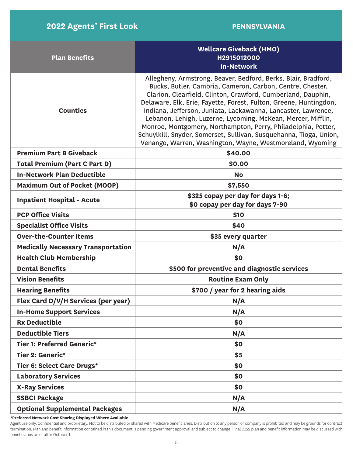| <b>Plan Benefits</b>                      | <b>Wellcare Giveback (HMO)</b><br>H2915012000<br><b>In-Network</b>                                                                                                                                                                                                                                                                                                                                                                                                                                                                                                                                    |
|-------------------------------------------|-------------------------------------------------------------------------------------------------------------------------------------------------------------------------------------------------------------------------------------------------------------------------------------------------------------------------------------------------------------------------------------------------------------------------------------------------------------------------------------------------------------------------------------------------------------------------------------------------------|
| <b>Counties</b>                           | Allegheny, Armstrong, Beaver, Bedford, Berks, Blair, Bradford,<br>Bucks, Butler, Cambria, Cameron, Carbon, Centre, Chester,<br>Clarion, Clearfield, Clinton, Crawford, Cumberland, Dauphin,<br>Delaware, Elk, Erie, Fayette, Forest, Fulton, Greene, Huntingdon,<br>Indiana, Jefferson, Juniata, Lackawanna, Lancaster, Lawrence,<br>Lebanon, Lehigh, Luzerne, Lycoming, McKean, Mercer, Mifflin,<br>Monroe, Montgomery, Northampton, Perry, Philadelphia, Potter,<br>Schuylkill, Snyder, Somerset, Sullivan, Susquehanna, Tioga, Union,<br>Venango, Warren, Washington, Wayne, Westmoreland, Wyoming |
| <b>Premium Part B Giveback</b>            | \$40.00                                                                                                                                                                                                                                                                                                                                                                                                                                                                                                                                                                                               |
| <b>Total Premium (Part C Part D)</b>      | \$0.00                                                                                                                                                                                                                                                                                                                                                                                                                                                                                                                                                                                                |
| <b>In-Network Plan Deductible</b>         | <b>No</b>                                                                                                                                                                                                                                                                                                                                                                                                                                                                                                                                                                                             |
| <b>Maximum Out of Pocket (MOOP)</b>       | \$7,550                                                                                                                                                                                                                                                                                                                                                                                                                                                                                                                                                                                               |
| <b>Inpatient Hospital - Acute</b>         | \$325 copay per day for days 1-6;<br>\$0 copay per day for days 7-90                                                                                                                                                                                                                                                                                                                                                                                                                                                                                                                                  |
| <b>PCP Office Visits</b>                  | \$10                                                                                                                                                                                                                                                                                                                                                                                                                                                                                                                                                                                                  |
| <b>Specialist Office Visits</b>           | \$40                                                                                                                                                                                                                                                                                                                                                                                                                                                                                                                                                                                                  |
| <b>Over-the-Counter Items</b>             | \$35 every quarter                                                                                                                                                                                                                                                                                                                                                                                                                                                                                                                                                                                    |
| <b>Medically Necessary Transportation</b> | N/A                                                                                                                                                                                                                                                                                                                                                                                                                                                                                                                                                                                                   |
| <b>Health Club Membership</b>             | \$0                                                                                                                                                                                                                                                                                                                                                                                                                                                                                                                                                                                                   |
| <b>Dental Benefits</b>                    | \$500 for preventive and diagnostic services                                                                                                                                                                                                                                                                                                                                                                                                                                                                                                                                                          |
| <b>Vision Benefits</b>                    | <b>Routine Exam Only</b>                                                                                                                                                                                                                                                                                                                                                                                                                                                                                                                                                                              |
| <b>Hearing Benefits</b>                   | \$700 / year for 2 hearing aids                                                                                                                                                                                                                                                                                                                                                                                                                                                                                                                                                                       |
| Flex Card D/V/H Services (per year)       | N/A                                                                                                                                                                                                                                                                                                                                                                                                                                                                                                                                                                                                   |
| <b>In-Home Support Services</b>           | N/A                                                                                                                                                                                                                                                                                                                                                                                                                                                                                                                                                                                                   |
| <b>Rx Deductible</b>                      | \$0                                                                                                                                                                                                                                                                                                                                                                                                                                                                                                                                                                                                   |
| <b>Deductible Tiers</b>                   | N/A                                                                                                                                                                                                                                                                                                                                                                                                                                                                                                                                                                                                   |
| <b>Tier 1: Preferred Generic*</b>         | \$0                                                                                                                                                                                                                                                                                                                                                                                                                                                                                                                                                                                                   |
| Tier 2: Generic*                          | \$5                                                                                                                                                                                                                                                                                                                                                                                                                                                                                                                                                                                                   |
| Tier 6: Select Care Drugs*                | \$0                                                                                                                                                                                                                                                                                                                                                                                                                                                                                                                                                                                                   |
| <b>Laboratory Services</b>                | \$0                                                                                                                                                                                                                                                                                                                                                                                                                                                                                                                                                                                                   |
| <b>X-Ray Services</b>                     | \$0                                                                                                                                                                                                                                                                                                                                                                                                                                                                                                                                                                                                   |
| <b>SSBCI Package</b>                      | N/A                                                                                                                                                                                                                                                                                                                                                                                                                                                                                                                                                                                                   |
| <b>Optional Supplemental Packages</b>     | N/A                                                                                                                                                                                                                                                                                                                                                                                                                                                                                                                                                                                                   |

**\*Preferred Network Cost Sharing Displayed Where Available**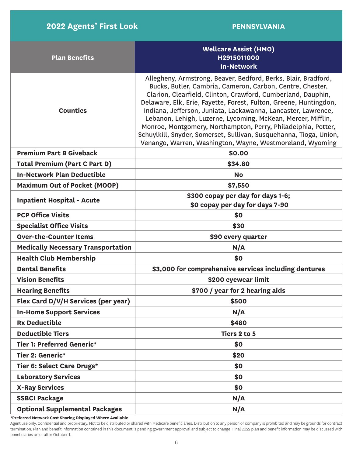| <b>Plan Benefits</b>                      | <b>Wellcare Assist (HMO)</b><br>H2915011000<br><b>In-Network</b>                                                                                                                                                                                                                                                                                                                                                                                                                                                                                                                                      |  |
|-------------------------------------------|-------------------------------------------------------------------------------------------------------------------------------------------------------------------------------------------------------------------------------------------------------------------------------------------------------------------------------------------------------------------------------------------------------------------------------------------------------------------------------------------------------------------------------------------------------------------------------------------------------|--|
| <b>Counties</b>                           | Allegheny, Armstrong, Beaver, Bedford, Berks, Blair, Bradford,<br>Bucks, Butler, Cambria, Cameron, Carbon, Centre, Chester,<br>Clarion, Clearfield, Clinton, Crawford, Cumberland, Dauphin,<br>Delaware, Elk, Erie, Fayette, Forest, Fulton, Greene, Huntingdon,<br>Indiana, Jefferson, Juniata, Lackawanna, Lancaster, Lawrence,<br>Lebanon, Lehigh, Luzerne, Lycoming, McKean, Mercer, Mifflin,<br>Monroe, Montgomery, Northampton, Perry, Philadelphia, Potter,<br>Schuylkill, Snyder, Somerset, Sullivan, Susquehanna, Tioga, Union,<br>Venango, Warren, Washington, Wayne, Westmoreland, Wyoming |  |
| <b>Premium Part B Giveback</b>            | \$0.00                                                                                                                                                                                                                                                                                                                                                                                                                                                                                                                                                                                                |  |
| <b>Total Premium (Part C Part D)</b>      | \$34.80                                                                                                                                                                                                                                                                                                                                                                                                                                                                                                                                                                                               |  |
| <b>In-Network Plan Deductible</b>         | <b>No</b>                                                                                                                                                                                                                                                                                                                                                                                                                                                                                                                                                                                             |  |
| <b>Maximum Out of Pocket (MOOP)</b>       | \$7,550                                                                                                                                                                                                                                                                                                                                                                                                                                                                                                                                                                                               |  |
| <b>Inpatient Hospital - Acute</b>         | \$300 copay per day for days 1-6;<br>\$0 copay per day for days 7-90                                                                                                                                                                                                                                                                                                                                                                                                                                                                                                                                  |  |
| <b>PCP Office Visits</b>                  | \$0                                                                                                                                                                                                                                                                                                                                                                                                                                                                                                                                                                                                   |  |
| <b>Specialist Office Visits</b>           | \$30                                                                                                                                                                                                                                                                                                                                                                                                                                                                                                                                                                                                  |  |
| <b>Over-the-Counter Items</b>             | \$90 every quarter                                                                                                                                                                                                                                                                                                                                                                                                                                                                                                                                                                                    |  |
| <b>Medically Necessary Transportation</b> | N/A                                                                                                                                                                                                                                                                                                                                                                                                                                                                                                                                                                                                   |  |
| <b>Health Club Membership</b>             | \$0                                                                                                                                                                                                                                                                                                                                                                                                                                                                                                                                                                                                   |  |
| <b>Dental Benefits</b>                    | \$3,000 for comprehensive services including dentures                                                                                                                                                                                                                                                                                                                                                                                                                                                                                                                                                 |  |
| <b>Vision Benefits</b>                    | \$200 eyewear limit                                                                                                                                                                                                                                                                                                                                                                                                                                                                                                                                                                                   |  |
| <b>Hearing Benefits</b>                   | \$700 / year for 2 hearing aids                                                                                                                                                                                                                                                                                                                                                                                                                                                                                                                                                                       |  |
| Flex Card D/V/H Services (per year)       | \$500                                                                                                                                                                                                                                                                                                                                                                                                                                                                                                                                                                                                 |  |
| <b>In-Home Support Services</b>           | N/A                                                                                                                                                                                                                                                                                                                                                                                                                                                                                                                                                                                                   |  |
| <b>Rx Deductible</b>                      | \$480                                                                                                                                                                                                                                                                                                                                                                                                                                                                                                                                                                                                 |  |
| <b>Deductible Tiers</b>                   | Tiers 2 to 5                                                                                                                                                                                                                                                                                                                                                                                                                                                                                                                                                                                          |  |
| <b>Tier 1: Preferred Generic*</b>         | \$0                                                                                                                                                                                                                                                                                                                                                                                                                                                                                                                                                                                                   |  |
| Tier 2: Generic*                          | \$20                                                                                                                                                                                                                                                                                                                                                                                                                                                                                                                                                                                                  |  |
| Tier 6: Select Care Drugs*                | \$0                                                                                                                                                                                                                                                                                                                                                                                                                                                                                                                                                                                                   |  |
| <b>Laboratory Services</b>                | \$0                                                                                                                                                                                                                                                                                                                                                                                                                                                                                                                                                                                                   |  |
| <b>X-Ray Services</b>                     | \$0                                                                                                                                                                                                                                                                                                                                                                                                                                                                                                                                                                                                   |  |
| <b>SSBCI Package</b>                      | N/A                                                                                                                                                                                                                                                                                                                                                                                                                                                                                                                                                                                                   |  |
| <b>Optional Supplemental Packages</b>     | N/A                                                                                                                                                                                                                                                                                                                                                                                                                                                                                                                                                                                                   |  |

**\*Preferred Network Cost Sharing Displayed Where Available**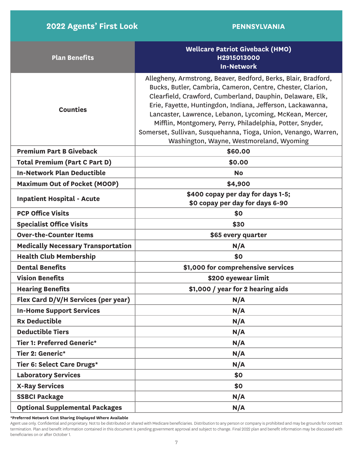| <b>Plan Benefits</b>                      | <b>Wellcare Patriot Giveback (HMO)</b><br>H2915013000<br><b>In-Network</b>                                                                                                                                                                                                                                                                                                                                                                                                                     |  |
|-------------------------------------------|------------------------------------------------------------------------------------------------------------------------------------------------------------------------------------------------------------------------------------------------------------------------------------------------------------------------------------------------------------------------------------------------------------------------------------------------------------------------------------------------|--|
| <b>Counties</b>                           | Allegheny, Armstrong, Beaver, Bedford, Berks, Blair, Bradford,<br>Bucks, Butler, Cambria, Cameron, Centre, Chester, Clarion,<br>Clearfield, Crawford, Cumberland, Dauphin, Delaware, Elk,<br>Erie, Fayette, Huntingdon, Indiana, Jefferson, Lackawanna,<br>Lancaster, Lawrence, Lebanon, Lycoming, McKean, Mercer,<br>Mifflin, Montgomery, Perry, Philadelphia, Potter, Snyder,<br>Somerset, Sullivan, Susquehanna, Tioga, Union, Venango, Warren,<br>Washington, Wayne, Westmoreland, Wyoming |  |
| <b>Premium Part B Giveback</b>            | \$60.00                                                                                                                                                                                                                                                                                                                                                                                                                                                                                        |  |
| <b>Total Premium (Part C Part D)</b>      | \$0.00                                                                                                                                                                                                                                                                                                                                                                                                                                                                                         |  |
| <b>In-Network Plan Deductible</b>         | <b>No</b>                                                                                                                                                                                                                                                                                                                                                                                                                                                                                      |  |
| <b>Maximum Out of Pocket (MOOP)</b>       | \$4,900                                                                                                                                                                                                                                                                                                                                                                                                                                                                                        |  |
| <b>Inpatient Hospital - Acute</b>         | \$400 copay per day for days 1-5;<br>\$0 copay per day for days 6-90                                                                                                                                                                                                                                                                                                                                                                                                                           |  |
| <b>PCP Office Visits</b>                  | \$0                                                                                                                                                                                                                                                                                                                                                                                                                                                                                            |  |
| <b>Specialist Office Visits</b>           | \$30                                                                                                                                                                                                                                                                                                                                                                                                                                                                                           |  |
| <b>Over-the-Counter Items</b>             | \$65 every quarter                                                                                                                                                                                                                                                                                                                                                                                                                                                                             |  |
| <b>Medically Necessary Transportation</b> | N/A                                                                                                                                                                                                                                                                                                                                                                                                                                                                                            |  |
| <b>Health Club Membership</b>             | \$0                                                                                                                                                                                                                                                                                                                                                                                                                                                                                            |  |
| <b>Dental Benefits</b>                    | \$1,000 for comprehensive services                                                                                                                                                                                                                                                                                                                                                                                                                                                             |  |
| <b>Vision Benefits</b>                    | \$200 eyewear limit                                                                                                                                                                                                                                                                                                                                                                                                                                                                            |  |
| <b>Hearing Benefits</b>                   | \$1,000 / year for 2 hearing aids                                                                                                                                                                                                                                                                                                                                                                                                                                                              |  |
| Flex Card D/V/H Services (per year)       | N/A                                                                                                                                                                                                                                                                                                                                                                                                                                                                                            |  |
| <b>In-Home Support Services</b>           | N/A                                                                                                                                                                                                                                                                                                                                                                                                                                                                                            |  |
| <b>Rx Deductible</b>                      | N/A                                                                                                                                                                                                                                                                                                                                                                                                                                                                                            |  |
| <b>Deductible Tiers</b>                   | N/A                                                                                                                                                                                                                                                                                                                                                                                                                                                                                            |  |
| Tier 1: Preferred Generic*                | N/A                                                                                                                                                                                                                                                                                                                                                                                                                                                                                            |  |
| Tier 2: Generic*                          | N/A                                                                                                                                                                                                                                                                                                                                                                                                                                                                                            |  |
| Tier 6: Select Care Drugs*                | N/A                                                                                                                                                                                                                                                                                                                                                                                                                                                                                            |  |
| <b>Laboratory Services</b>                | \$0                                                                                                                                                                                                                                                                                                                                                                                                                                                                                            |  |
| <b>X-Ray Services</b>                     | \$0                                                                                                                                                                                                                                                                                                                                                                                                                                                                                            |  |
| <b>SSBCI Package</b>                      | N/A                                                                                                                                                                                                                                                                                                                                                                                                                                                                                            |  |
| <b>Optional Supplemental Packages</b>     | N/A                                                                                                                                                                                                                                                                                                                                                                                                                                                                                            |  |

**\*Preferred Network Cost Sharing Displayed Where Available**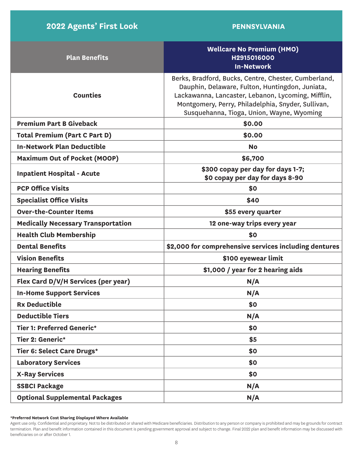| <b>Plan Benefits</b>                      | <b>Wellcare No Premium (HMO)</b><br>H2915016000<br><b>In-Network</b>                                                                                                                                                                                             |
|-------------------------------------------|------------------------------------------------------------------------------------------------------------------------------------------------------------------------------------------------------------------------------------------------------------------|
| <b>Counties</b>                           | Berks, Bradford, Bucks, Centre, Chester, Cumberland,<br>Dauphin, Delaware, Fulton, Huntingdon, Juniata,<br>Lackawanna, Lancaster, Lebanon, Lycoming, Mifflin,<br>Montgomery, Perry, Philadelphia, Snyder, Sullivan,<br>Susquehanna, Tioga, Union, Wayne, Wyoming |
| <b>Premium Part B Giveback</b>            | \$0.00                                                                                                                                                                                                                                                           |
| <b>Total Premium (Part C Part D)</b>      | \$0.00                                                                                                                                                                                                                                                           |
| <b>In-Network Plan Deductible</b>         | <b>No</b>                                                                                                                                                                                                                                                        |
| <b>Maximum Out of Pocket (MOOP)</b>       | \$6,700                                                                                                                                                                                                                                                          |
| <b>Inpatient Hospital - Acute</b>         | \$300 copay per day for days 1-7;<br>\$0 copay per day for days 8-90                                                                                                                                                                                             |
| <b>PCP Office Visits</b>                  | \$0                                                                                                                                                                                                                                                              |
| <b>Specialist Office Visits</b>           | \$40                                                                                                                                                                                                                                                             |
| <b>Over-the-Counter Items</b>             | \$55 every quarter                                                                                                                                                                                                                                               |
| <b>Medically Necessary Transportation</b> | 12 one-way trips every year                                                                                                                                                                                                                                      |
| <b>Health Club Membership</b>             | \$0                                                                                                                                                                                                                                                              |
| <b>Dental Benefits</b>                    | \$2,000 for comprehensive services including dentures                                                                                                                                                                                                            |
| <b>Vision Benefits</b>                    | \$100 eyewear limit                                                                                                                                                                                                                                              |
| <b>Hearing Benefits</b>                   | \$1,000 / year for 2 hearing aids                                                                                                                                                                                                                                |
| Flex Card D/V/H Services (per year)       | N/A                                                                                                                                                                                                                                                              |
| <b>In-Home Support Services</b>           | N/A                                                                                                                                                                                                                                                              |
| <b>Rx Deductible</b>                      | \$0                                                                                                                                                                                                                                                              |
| <b>Deductible Tiers</b>                   | N/A                                                                                                                                                                                                                                                              |
| <b>Tier 1: Preferred Generic*</b>         | \$0                                                                                                                                                                                                                                                              |
| Tier 2: Generic*                          | \$5                                                                                                                                                                                                                                                              |
| Tier 6: Select Care Drugs*                | \$0                                                                                                                                                                                                                                                              |
| <b>Laboratory Services</b>                | \$0                                                                                                                                                                                                                                                              |
| <b>X-Ray Services</b>                     | \$0                                                                                                                                                                                                                                                              |
| <b>SSBCI Package</b>                      | N/A                                                                                                                                                                                                                                                              |
| <b>Optional Supplemental Packages</b>     | N/A                                                                                                                                                                                                                                                              |

**\*Preferred Network Cost Sharing Displayed Where Available**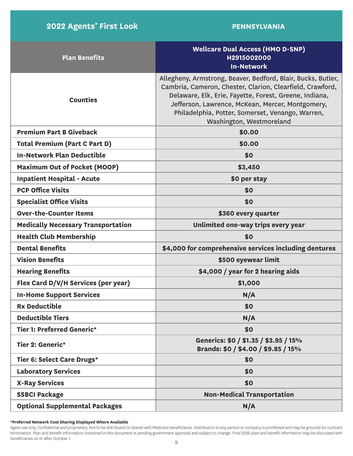| <b>Plan Benefits</b>                      | <b>Wellcare Dual Access (HMO D-SNP)</b><br>H2915002000<br><b>In-Network</b>                                                                                                                                                                                                                                             |
|-------------------------------------------|-------------------------------------------------------------------------------------------------------------------------------------------------------------------------------------------------------------------------------------------------------------------------------------------------------------------------|
| <b>Counties</b>                           | Allegheny, Armstrong, Beaver, Bedford, Blair, Bucks, Butler,<br>Cambria, Cameron, Chester, Clarion, Clearfield, Crawford,<br>Delaware, Elk, Erie, Fayette, Forest, Greene, Indiana,<br>Jefferson, Lawrence, McKean, Mercer, Montgomery,<br>Philadelphia, Potter, Somerset, Venango, Warren,<br>Washington, Westmoreland |
| <b>Premium Part B Giveback</b>            | \$0.00                                                                                                                                                                                                                                                                                                                  |
| <b>Total Premium (Part C Part D)</b>      | \$0.00                                                                                                                                                                                                                                                                                                                  |
| <b>In-Network Plan Deductible</b>         | \$0                                                                                                                                                                                                                                                                                                                     |
| <b>Maximum Out of Pocket (MOOP)</b>       | \$3,450                                                                                                                                                                                                                                                                                                                 |
| <b>Inpatient Hospital - Acute</b>         | \$0 per stay                                                                                                                                                                                                                                                                                                            |
| <b>PCP Office Visits</b>                  | \$0                                                                                                                                                                                                                                                                                                                     |
| <b>Specialist Office Visits</b>           | \$0                                                                                                                                                                                                                                                                                                                     |
| <b>Over-the-Counter Items</b>             | \$360 every quarter                                                                                                                                                                                                                                                                                                     |
| <b>Medically Necessary Transportation</b> | Unlimited one-way trips every year                                                                                                                                                                                                                                                                                      |
| <b>Health Club Membership</b>             | \$0                                                                                                                                                                                                                                                                                                                     |
| <b>Dental Benefits</b>                    | \$4,000 for comprehensive services including dentures                                                                                                                                                                                                                                                                   |
| <b>Vision Benefits</b>                    | \$500 eyewear limit                                                                                                                                                                                                                                                                                                     |
| <b>Hearing Benefits</b>                   | \$4,000 / year for 2 hearing aids                                                                                                                                                                                                                                                                                       |
| Flex Card D/V/H Services (per year)       | \$1,000                                                                                                                                                                                                                                                                                                                 |
| <b>In-Home Support Services</b>           | N/A                                                                                                                                                                                                                                                                                                                     |
| <b>Rx Deductible</b>                      | \$0                                                                                                                                                                                                                                                                                                                     |
| <b>Deductible Tiers</b>                   | N/A                                                                                                                                                                                                                                                                                                                     |
| <b>Tier 1: Preferred Generic*</b>         | \$0                                                                                                                                                                                                                                                                                                                     |
| Tier 2: Generic*                          | Generics: \$0 / \$1.35 / \$3.95 / 15%<br>Brands: \$0 / \$4.00 / \$9.85 / 15%                                                                                                                                                                                                                                            |
| Tier 6: Select Care Drugs*                | \$0                                                                                                                                                                                                                                                                                                                     |
| <b>Laboratory Services</b>                | \$0                                                                                                                                                                                                                                                                                                                     |
| <b>X-Ray Services</b>                     | \$0                                                                                                                                                                                                                                                                                                                     |
| <b>SSBCI Package</b>                      | <b>Non-Medical Transportation</b>                                                                                                                                                                                                                                                                                       |
| <b>Optional Supplemental Packages</b>     | N/A                                                                                                                                                                                                                                                                                                                     |

**\*Preferred Network Cost Sharing Displayed Where Available**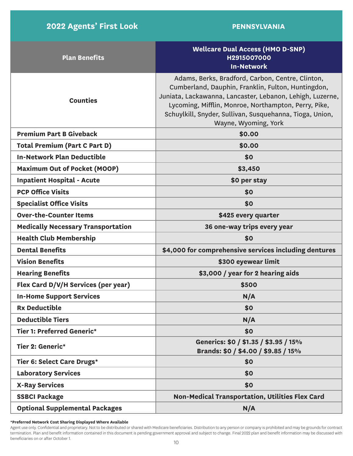| <b>Plan Benefits</b>                      | <b>Wellcare Dual Access (HMO D-SNP)</b><br>H2915007000<br><b>In-Network</b>                                                                                                                                                                                                                                     |
|-------------------------------------------|-----------------------------------------------------------------------------------------------------------------------------------------------------------------------------------------------------------------------------------------------------------------------------------------------------------------|
| <b>Counties</b>                           | Adams, Berks, Bradford, Carbon, Centre, Clinton,<br>Cumberland, Dauphin, Franklin, Fulton, Huntingdon,<br>Juniata, Lackawanna, Lancaster, Lebanon, Lehigh, Luzerne,<br>Lycoming, Mifflin, Monroe, Northampton, Perry, Pike,<br>Schuylkill, Snyder, Sullivan, Susquehanna, Tioga, Union,<br>Wayne, Wyoming, York |
| <b>Premium Part B Giveback</b>            | \$0.00                                                                                                                                                                                                                                                                                                          |
| <b>Total Premium (Part C Part D)</b>      | \$0.00                                                                                                                                                                                                                                                                                                          |
| <b>In-Network Plan Deductible</b>         | \$0                                                                                                                                                                                                                                                                                                             |
| <b>Maximum Out of Pocket (MOOP)</b>       | \$3,450                                                                                                                                                                                                                                                                                                         |
| <b>Inpatient Hospital - Acute</b>         | \$0 per stay                                                                                                                                                                                                                                                                                                    |
| <b>PCP Office Visits</b>                  | \$0                                                                                                                                                                                                                                                                                                             |
| <b>Specialist Office Visits</b>           | \$0                                                                                                                                                                                                                                                                                                             |
| <b>Over-the-Counter Items</b>             | \$425 every quarter                                                                                                                                                                                                                                                                                             |
| <b>Medically Necessary Transportation</b> | 36 one-way trips every year                                                                                                                                                                                                                                                                                     |
| <b>Health Club Membership</b>             | \$0                                                                                                                                                                                                                                                                                                             |
| <b>Dental Benefits</b>                    | \$4,000 for comprehensive services including dentures                                                                                                                                                                                                                                                           |
| <b>Vision Benefits</b>                    | \$300 eyewear limit                                                                                                                                                                                                                                                                                             |
| <b>Hearing Benefits</b>                   | \$3,000 / year for 2 hearing aids                                                                                                                                                                                                                                                                               |
| Flex Card D/V/H Services (per year)       | \$500                                                                                                                                                                                                                                                                                                           |
| <b>In-Home Support Services</b>           | N/A                                                                                                                                                                                                                                                                                                             |
| <b>Rx Deductible</b>                      | \$0                                                                                                                                                                                                                                                                                                             |
| <b>Deductible Tiers</b>                   | N/A                                                                                                                                                                                                                                                                                                             |
| <b>Tier 1: Preferred Generic*</b>         | \$0                                                                                                                                                                                                                                                                                                             |
| Tier 2: Generic*                          | Generics: \$0 / \$1.35 / \$3.95 / 15%<br>Brands: \$0 / \$4.00 / \$9.85 / 15%                                                                                                                                                                                                                                    |
| Tier 6: Select Care Drugs*                | \$0                                                                                                                                                                                                                                                                                                             |
| <b>Laboratory Services</b>                | \$0                                                                                                                                                                                                                                                                                                             |
| <b>X-Ray Services</b>                     | \$0                                                                                                                                                                                                                                                                                                             |
| <b>SSBCI Package</b>                      | Non-Medical Transportation, Utilities Flex Card                                                                                                                                                                                                                                                                 |
| <b>Optional Supplemental Packages</b>     | N/A                                                                                                                                                                                                                                                                                                             |

**\*Preferred Network Cost Sharing Displayed Where Available**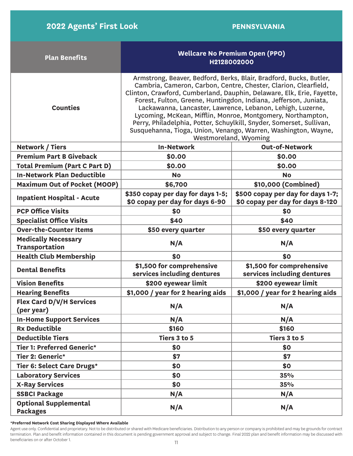| <b>Plan Benefits</b>                                | <b>Wellcare No Premium Open (PPO)</b><br>H2128002000                                                                                                                                                                                                                                                                                                                                                                                                                                                                                                                               |                                                                       |  |
|-----------------------------------------------------|------------------------------------------------------------------------------------------------------------------------------------------------------------------------------------------------------------------------------------------------------------------------------------------------------------------------------------------------------------------------------------------------------------------------------------------------------------------------------------------------------------------------------------------------------------------------------------|-----------------------------------------------------------------------|--|
| <b>Counties</b>                                     | Armstrong, Beaver, Bedford, Berks, Blair, Bradford, Bucks, Butler,<br>Cambria, Cameron, Carbon, Centre, Chester, Clarion, Clearfield,<br>Clinton, Crawford, Cumberland, Dauphin, Delaware, Elk, Erie, Fayette,<br>Forest, Fulton, Greene, Huntingdon, Indiana, Jefferson, Juniata,<br>Lackawanna, Lancaster, Lawrence, Lebanon, Lehigh, Luzerne,<br>Lycoming, McKean, Mifflin, Monroe, Montgomery, Northampton,<br>Perry, Philadelphia, Potter, Schuylkill, Snyder, Somerset, Sullivan,<br>Susquehanna, Tioga, Union, Venango, Warren, Washington, Wayne,<br>Westmoreland, Wyoming |                                                                       |  |
| <b>Network / Tiers</b>                              | <b>In-Network</b>                                                                                                                                                                                                                                                                                                                                                                                                                                                                                                                                                                  | <b>Out-of-Network</b>                                                 |  |
| <b>Premium Part B Giveback</b>                      | \$0.00                                                                                                                                                                                                                                                                                                                                                                                                                                                                                                                                                                             | \$0.00                                                                |  |
| <b>Total Premium (Part C Part D)</b>                | \$0.00                                                                                                                                                                                                                                                                                                                                                                                                                                                                                                                                                                             | \$0.00                                                                |  |
| <b>In-Network Plan Deductible</b>                   | <b>No</b>                                                                                                                                                                                                                                                                                                                                                                                                                                                                                                                                                                          | <b>No</b>                                                             |  |
| <b>Maximum Out of Pocket (MOOP)</b>                 | \$6,700                                                                                                                                                                                                                                                                                                                                                                                                                                                                                                                                                                            | \$10,000 (Combined)                                                   |  |
| <b>Inpatient Hospital - Acute</b>                   | \$350 copay per day for days 1-5;<br>\$0 copay per day for days 6-90                                                                                                                                                                                                                                                                                                                                                                                                                                                                                                               | \$500 copay per day for days 1-7;<br>\$0 copay per day for days 8-120 |  |
| <b>PCP Office Visits</b>                            | \$0                                                                                                                                                                                                                                                                                                                                                                                                                                                                                                                                                                                | \$0                                                                   |  |
| <b>Specialist Office Visits</b>                     | \$40                                                                                                                                                                                                                                                                                                                                                                                                                                                                                                                                                                               | \$40                                                                  |  |
| <b>Over-the-Counter Items</b>                       | \$50 every quarter                                                                                                                                                                                                                                                                                                                                                                                                                                                                                                                                                                 | \$50 every quarter                                                    |  |
| <b>Medically Necessary</b><br><b>Transportation</b> | N/A                                                                                                                                                                                                                                                                                                                                                                                                                                                                                                                                                                                | N/A                                                                   |  |
| <b>Health Club Membership</b>                       | \$0                                                                                                                                                                                                                                                                                                                                                                                                                                                                                                                                                                                | \$0                                                                   |  |
| <b>Dental Benefits</b>                              | \$1,500 for comprehensive<br>services including dentures                                                                                                                                                                                                                                                                                                                                                                                                                                                                                                                           | \$1,500 for comprehensive<br>services including dentures              |  |
| <b>Vision Benefits</b>                              | \$200 eyewear limit                                                                                                                                                                                                                                                                                                                                                                                                                                                                                                                                                                | \$200 eyewear limit                                                   |  |
| <b>Hearing Benefits</b>                             | \$1,000 / year for 2 hearing aids                                                                                                                                                                                                                                                                                                                                                                                                                                                                                                                                                  | \$1,000 / year for 2 hearing aids                                     |  |
| <b>Flex Card D/V/H Services</b><br>(per year)       | N/A                                                                                                                                                                                                                                                                                                                                                                                                                                                                                                                                                                                | N/A                                                                   |  |
| <b>In-Home Support Services</b>                     | N/A                                                                                                                                                                                                                                                                                                                                                                                                                                                                                                                                                                                | N/A                                                                   |  |
| <b>Rx Deductible</b>                                | \$160                                                                                                                                                                                                                                                                                                                                                                                                                                                                                                                                                                              | \$160                                                                 |  |
| <b>Deductible Tiers</b>                             | Tiers 3 to 5                                                                                                                                                                                                                                                                                                                                                                                                                                                                                                                                                                       | Tiers 3 to 5                                                          |  |
| Tier 1: Preferred Generic*                          | \$0                                                                                                                                                                                                                                                                                                                                                                                                                                                                                                                                                                                | \$0                                                                   |  |
| Tier 2: Generic*                                    | \$7                                                                                                                                                                                                                                                                                                                                                                                                                                                                                                                                                                                | \$7                                                                   |  |
| Tier 6: Select Care Drugs*                          | \$0                                                                                                                                                                                                                                                                                                                                                                                                                                                                                                                                                                                | \$0                                                                   |  |
| <b>Laboratory Services</b>                          | \$0                                                                                                                                                                                                                                                                                                                                                                                                                                                                                                                                                                                | <b>35%</b>                                                            |  |
| <b>X-Ray Services</b>                               | \$0                                                                                                                                                                                                                                                                                                                                                                                                                                                                                                                                                                                | 35%                                                                   |  |
| <b>SSBCI Package</b>                                | N/A                                                                                                                                                                                                                                                                                                                                                                                                                                                                                                                                                                                | N/A                                                                   |  |
| <b>Optional Supplemental</b><br><b>Packages</b>     | N/A                                                                                                                                                                                                                                                                                                                                                                                                                                                                                                                                                                                | N/A                                                                   |  |

**\*Preferred Network Cost Sharing Displayed Where Available**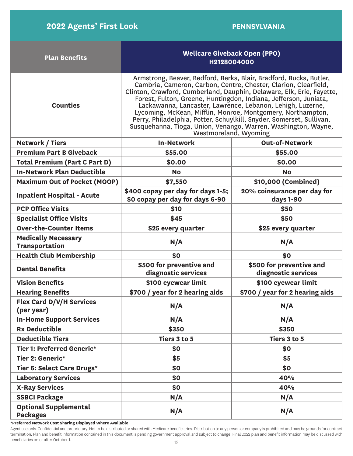| <b>Plan Benefits</b>                                | <b>Wellcare Giveback Open (PPO)</b><br>H2128004000                                                                                                                                                                                                                                                                                                                                                                                                                                                                                                                                 |                                                 |  |
|-----------------------------------------------------|------------------------------------------------------------------------------------------------------------------------------------------------------------------------------------------------------------------------------------------------------------------------------------------------------------------------------------------------------------------------------------------------------------------------------------------------------------------------------------------------------------------------------------------------------------------------------------|-------------------------------------------------|--|
| <b>Counties</b>                                     | Armstrong, Beaver, Bedford, Berks, Blair, Bradford, Bucks, Butler,<br>Cambria, Cameron, Carbon, Centre, Chester, Clarion, Clearfield,<br>Clinton, Crawford, Cumberland, Dauphin, Delaware, Elk, Erie, Fayette,<br>Forest, Fulton, Greene, Huntingdon, Indiana, Jefferson, Juniata,<br>Lackawanna, Lancaster, Lawrence, Lebanon, Lehigh, Luzerne,<br>Lycoming, McKean, Mifflin, Monroe, Montgomery, Northampton,<br>Perry, Philadelphia, Potter, Schuylkill, Snyder, Somerset, Sullivan,<br>Susquehanna, Tioga, Union, Venango, Warren, Washington, Wayne,<br>Westmoreland, Wyoming |                                                 |  |
| <b>Network / Tiers</b>                              | <b>In-Network</b>                                                                                                                                                                                                                                                                                                                                                                                                                                                                                                                                                                  | <b>Out-of-Network</b>                           |  |
| <b>Premium Part B Giveback</b>                      | \$55.00                                                                                                                                                                                                                                                                                                                                                                                                                                                                                                                                                                            | \$55.00                                         |  |
| <b>Total Premium (Part C Part D)</b>                | \$0.00                                                                                                                                                                                                                                                                                                                                                                                                                                                                                                                                                                             | \$0.00                                          |  |
| <b>In-Network Plan Deductible</b>                   | <b>No</b>                                                                                                                                                                                                                                                                                                                                                                                                                                                                                                                                                                          | <b>No</b>                                       |  |
| <b>Maximum Out of Pocket (MOOP)</b>                 | \$7,550                                                                                                                                                                                                                                                                                                                                                                                                                                                                                                                                                                            | \$10,000 (Combined)                             |  |
| <b>Inpatient Hospital - Acute</b>                   | \$400 copay per day for days 1-5;<br>\$0 copay per day for days 6-90                                                                                                                                                                                                                                                                                                                                                                                                                                                                                                               | 20% coinsurance per day for<br>days 1-90        |  |
| <b>PCP Office Visits</b>                            | \$10                                                                                                                                                                                                                                                                                                                                                                                                                                                                                                                                                                               | \$50                                            |  |
| <b>Specialist Office Visits</b>                     | \$45                                                                                                                                                                                                                                                                                                                                                                                                                                                                                                                                                                               | \$50                                            |  |
| <b>Over-the-Counter Items</b>                       | \$25 every quarter                                                                                                                                                                                                                                                                                                                                                                                                                                                                                                                                                                 | \$25 every quarter                              |  |
| <b>Medically Necessary</b><br><b>Transportation</b> | N/A                                                                                                                                                                                                                                                                                                                                                                                                                                                                                                                                                                                | N/A                                             |  |
| <b>Health Club Membership</b>                       | \$0                                                                                                                                                                                                                                                                                                                                                                                                                                                                                                                                                                                | \$0                                             |  |
| <b>Dental Benefits</b>                              | \$500 for preventive and<br>diagnostic services                                                                                                                                                                                                                                                                                                                                                                                                                                                                                                                                    | \$500 for preventive and<br>diagnostic services |  |
| <b>Vision Benefits</b>                              | \$100 eyewear limit                                                                                                                                                                                                                                                                                                                                                                                                                                                                                                                                                                | \$100 eyewear limit                             |  |
| <b>Hearing Benefits</b>                             | \$700 / year for 2 hearing aids                                                                                                                                                                                                                                                                                                                                                                                                                                                                                                                                                    | \$700 / year for 2 hearing aids                 |  |
| <b>Flex Card D/V/H Services</b><br>(per year)       | N/A                                                                                                                                                                                                                                                                                                                                                                                                                                                                                                                                                                                | N/A                                             |  |
| <b>In-Home Support Services</b>                     | N/A                                                                                                                                                                                                                                                                                                                                                                                                                                                                                                                                                                                | N/A                                             |  |
| <b>Rx Deductible</b>                                | \$350                                                                                                                                                                                                                                                                                                                                                                                                                                                                                                                                                                              | \$350                                           |  |
| <b>Deductible Tiers</b>                             | Tiers 3 to 5                                                                                                                                                                                                                                                                                                                                                                                                                                                                                                                                                                       | Tiers 3 to 5                                    |  |
| <b>Tier 1: Preferred Generic*</b>                   | \$0                                                                                                                                                                                                                                                                                                                                                                                                                                                                                                                                                                                | \$0                                             |  |
| Tier 2: Generic*                                    | \$5                                                                                                                                                                                                                                                                                                                                                                                                                                                                                                                                                                                | \$5                                             |  |
| Tier 6: Select Care Drugs*                          | \$0                                                                                                                                                                                                                                                                                                                                                                                                                                                                                                                                                                                | \$0                                             |  |
| <b>Laboratory Services</b>                          | \$0                                                                                                                                                                                                                                                                                                                                                                                                                                                                                                                                                                                | 40%                                             |  |
| <b>X-Ray Services</b>                               | \$0                                                                                                                                                                                                                                                                                                                                                                                                                                                                                                                                                                                | 40%                                             |  |
| <b>SSBCI Package</b>                                | N/A                                                                                                                                                                                                                                                                                                                                                                                                                                                                                                                                                                                | N/A                                             |  |
| <b>Optional Supplemental</b><br><b>Packages</b>     | N/A                                                                                                                                                                                                                                                                                                                                                                                                                                                                                                                                                                                | N/A                                             |  |

**\*Preferred Network Cost Sharing Displayed Where Available**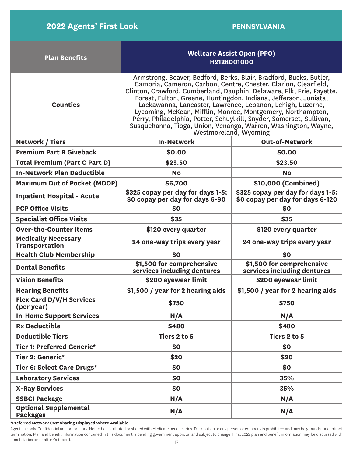| <b>Plan Benefits</b>                                | <b>Wellcare Assist Open (PPO)</b><br>H2128001000                                                                                                                                                                                                                                                                                                                                                                                                                                                                                                                                   |                                                                       |  |
|-----------------------------------------------------|------------------------------------------------------------------------------------------------------------------------------------------------------------------------------------------------------------------------------------------------------------------------------------------------------------------------------------------------------------------------------------------------------------------------------------------------------------------------------------------------------------------------------------------------------------------------------------|-----------------------------------------------------------------------|--|
| <b>Counties</b>                                     | Armstrong, Beaver, Bedford, Berks, Blair, Bradford, Bucks, Butler,<br>Cambria, Cameron, Carbon, Centre, Chester, Clarion, Clearfield,<br>Clinton, Crawford, Cumberland, Dauphin, Delaware, Elk, Erie, Fayette,<br>Forest, Fulton, Greene, Huntingdon, Indiana, Jefferson, Juniata,<br>Lackawanna, Lancaster, Lawrence, Lebanon, Lehigh, Luzerne,<br>Lycoming, McKean, Mifflin, Monroe, Montgomery, Northampton,<br>Perry, Philadelphia, Potter, Schuylkill, Snyder, Somerset, Sullivan,<br>Susquehanna, Tioga, Union, Venango, Warren, Washington, Wayne,<br>Westmoreland, Wyoming |                                                                       |  |
| <b>Network / Tiers</b>                              | <b>In-Network</b>                                                                                                                                                                                                                                                                                                                                                                                                                                                                                                                                                                  | <b>Out-of-Network</b>                                                 |  |
| <b>Premium Part B Giveback</b>                      | \$0.00                                                                                                                                                                                                                                                                                                                                                                                                                                                                                                                                                                             | \$0.00                                                                |  |
| <b>Total Premium (Part C Part D)</b>                | \$23.50                                                                                                                                                                                                                                                                                                                                                                                                                                                                                                                                                                            | \$23.50                                                               |  |
| <b>In-Network Plan Deductible</b>                   | <b>No</b>                                                                                                                                                                                                                                                                                                                                                                                                                                                                                                                                                                          | <b>No</b>                                                             |  |
| <b>Maximum Out of Pocket (MOOP)</b>                 | \$6,700                                                                                                                                                                                                                                                                                                                                                                                                                                                                                                                                                                            | \$10,000 (Combined)                                                   |  |
| <b>Inpatient Hospital - Acute</b>                   | \$325 copay per day for days 1-5;<br>\$0 copay per day for days 6-90                                                                                                                                                                                                                                                                                                                                                                                                                                                                                                               | \$325 copay per day for days 1-5;<br>\$0 copay per day for days 6-120 |  |
| <b>PCP Office Visits</b>                            | \$0                                                                                                                                                                                                                                                                                                                                                                                                                                                                                                                                                                                | \$0                                                                   |  |
| <b>Specialist Office Visits</b>                     | \$35                                                                                                                                                                                                                                                                                                                                                                                                                                                                                                                                                                               | \$35                                                                  |  |
| <b>Over-the-Counter Items</b>                       | \$120 every quarter                                                                                                                                                                                                                                                                                                                                                                                                                                                                                                                                                                | \$120 every quarter                                                   |  |
| <b>Medically Necessary</b><br><b>Transportation</b> | 24 one-way trips every year                                                                                                                                                                                                                                                                                                                                                                                                                                                                                                                                                        | 24 one-way trips every year                                           |  |
| <b>Health Club Membership</b>                       | \$0                                                                                                                                                                                                                                                                                                                                                                                                                                                                                                                                                                                | \$0                                                                   |  |
| <b>Dental Benefits</b>                              | \$1,500 for comprehensive<br>services including dentures                                                                                                                                                                                                                                                                                                                                                                                                                                                                                                                           | \$1,500 for comprehensive<br>services including dentures              |  |
| <b>Vision Benefits</b>                              | \$200 eyewear limit                                                                                                                                                                                                                                                                                                                                                                                                                                                                                                                                                                | \$200 eyewear limit                                                   |  |
| <b>Hearing Benefits</b>                             | \$1,500 / year for 2 hearing aids                                                                                                                                                                                                                                                                                                                                                                                                                                                                                                                                                  | \$1,500 / year for 2 hearing aids                                     |  |
| <b>Flex Card D/V/H Services</b><br>(per year)       | \$750                                                                                                                                                                                                                                                                                                                                                                                                                                                                                                                                                                              | \$750                                                                 |  |
| <b>In-Home Support Services</b>                     | N/A                                                                                                                                                                                                                                                                                                                                                                                                                                                                                                                                                                                | N/A                                                                   |  |
| <b>Rx Deductible</b>                                | \$480                                                                                                                                                                                                                                                                                                                                                                                                                                                                                                                                                                              | \$480                                                                 |  |
| <b>Deductible Tiers</b>                             | Tiers 2 to 5                                                                                                                                                                                                                                                                                                                                                                                                                                                                                                                                                                       | Tiers 2 to 5                                                          |  |
| <b>Tier 1: Preferred Generic*</b>                   | \$0                                                                                                                                                                                                                                                                                                                                                                                                                                                                                                                                                                                | \$0                                                                   |  |
| Tier 2: Generic*                                    | \$20                                                                                                                                                                                                                                                                                                                                                                                                                                                                                                                                                                               | \$20                                                                  |  |
| <b>Tier 6: Select Care Drugs*</b>                   | \$0                                                                                                                                                                                                                                                                                                                                                                                                                                                                                                                                                                                | \$0                                                                   |  |
| <b>Laboratory Services</b>                          | \$0                                                                                                                                                                                                                                                                                                                                                                                                                                                                                                                                                                                | <b>35%</b>                                                            |  |
| <b>X-Ray Services</b>                               | \$0                                                                                                                                                                                                                                                                                                                                                                                                                                                                                                                                                                                | 35%                                                                   |  |
| <b>SSBCI Package</b>                                | N/A                                                                                                                                                                                                                                                                                                                                                                                                                                                                                                                                                                                | N/A                                                                   |  |
| <b>Optional Supplemental</b><br><b>Packages</b>     | N/A                                                                                                                                                                                                                                                                                                                                                                                                                                                                                                                                                                                | N/A                                                                   |  |

**\*Preferred Network Cost Sharing Displayed Where Available**